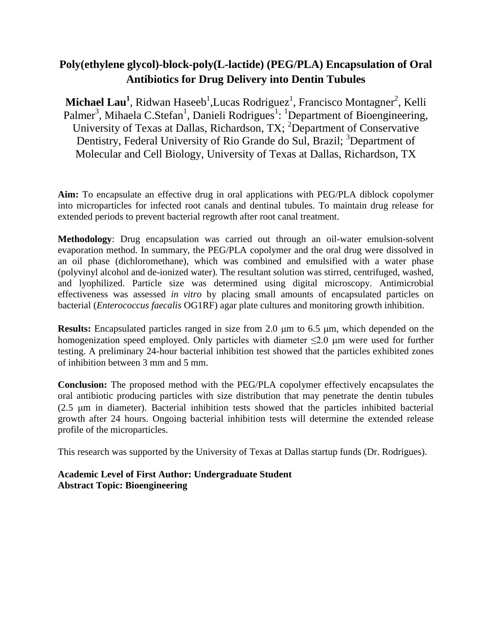# **Poly(ethylene glycol)-block-poly(L-lactide) (PEG/PLA) Encapsulation of Oral Antibiotics for Drug Delivery into Dentin Tubules**

Michael Lau<sup>1</sup>, Ridwan Haseeb<sup>1</sup>,Lucas Rodriguez<sup>1</sup>, Francisco Montagner<sup>2</sup>, Kelli Palmer<sup>3</sup>, Mihaela C.Stefan<sup>1</sup>, Danieli Rodrigues<sup>1</sup>: <sup>1</sup>Department of Bioengineering, University of Texas at Dallas, Richardson, TX; <sup>2</sup>Department of Conservative Dentistry, Federal University of Rio Grande do Sul, Brazil; <sup>3</sup>Department of Molecular and Cell Biology, University of Texas at Dallas, Richardson, TX

**Aim:** To encapsulate an effective drug in oral applications with PEG/PLA diblock copolymer into microparticles for infected root canals and dentinal tubules. To maintain drug release for extended periods to prevent bacterial regrowth after root canal treatment.

**Methodology**: Drug encapsulation was carried out through an oil-water emulsion-solvent evaporation method. In summary, the PEG/PLA copolymer and the oral drug were dissolved in an oil phase (dichloromethane), which was combined and emulsified with a water phase (polyvinyl alcohol and de-ionized water). The resultant solution was stirred, centrifuged, washed, and lyophilized. Particle size was determined using digital microscopy. Antimicrobial effectiveness was assessed *in vitro* by placing small amounts of encapsulated particles on bacterial (*Enterococcus faecalis* OG1RF) agar plate cultures and monitoring growth inhibition.

Results: Encapsulated particles ranged in size from 2.0  $\mu$ m to 6.5  $\mu$ m, which depended on the homogenization speed employed. Only particles with diameter  $\leq 2.0$  µm were used for further testing. A preliminary 24-hour bacterial inhibition test showed that the particles exhibited zones of inhibition between 3 mm and 5 mm.

**Conclusion:** The proposed method with the PEG/PLA copolymer effectively encapsulates the oral antibiotic producing particles with size distribution that may penetrate the dentin tubules  $(2.5 \mu m)$  in diameter). Bacterial inhibition tests showed that the particles inhibited bacterial growth after 24 hours. Ongoing bacterial inhibition tests will determine the extended release profile of the microparticles.

This research was supported by the University of Texas at Dallas startup funds (Dr. Rodrigues).

**Academic Level of First Author: Undergraduate Student Abstract Topic: Bioengineering**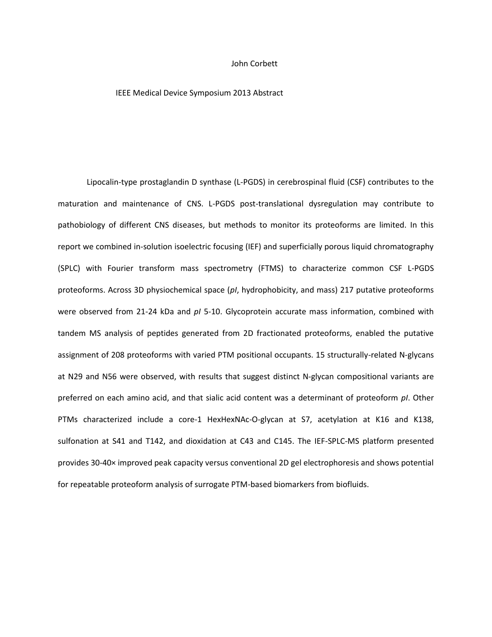#### John Corbett

#### IEEE Medical Device Symposium 2013 Abstract

Lipocalin-type prostaglandin D synthase (L-PGDS) in cerebrospinal fluid (CSF) contributes to the maturation and maintenance of CNS. L-PGDS post-translational dysregulation may contribute to pathobiology of different CNS diseases, but methods to monitor its proteoforms are limited. In this report we combined in-solution isoelectric focusing (IEF) and superficially porous liquid chromatography (SPLC) with Fourier transform mass spectrometry (FTMS) to characterize common CSF L-PGDS proteoforms. Across 3D physiochemical space (*pI*, hydrophobicity, and mass) 217 putative proteoforms were observed from 21-24 kDa and *pI* 5-10. Glycoprotein accurate mass information, combined with tandem MS analysis of peptides generated from 2D fractionated proteoforms, enabled the putative assignment of 208 proteoforms with varied PTM positional occupants. 15 structurally-related N-glycans at N29 and N56 were observed, with results that suggest distinct N-glycan compositional variants are preferred on each amino acid, and that sialic acid content was a determinant of proteoform *pI*. Other PTMs characterized include a core-1 HexHexNAc-O-glycan at S7, acetylation at K16 and K138, sulfonation at S41 and T142, and dioxidation at C43 and C145. The IEF-SPLC-MS platform presented provides 30-40× improved peak capacity versus conventional 2D gel electrophoresis and shows potential for repeatable proteoform analysis of surrogate PTM-based biomarkers from biofluids.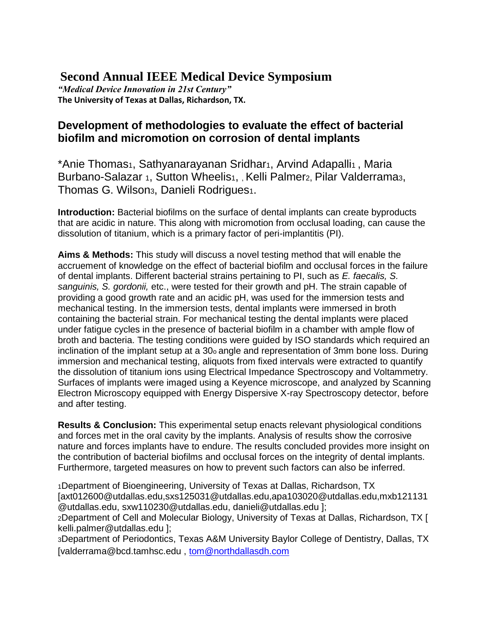# **Second Annual IEEE Medical Device Symposium**

*"Medical Device Innovation in 21st Century"*  **The University of Texas at Dallas, Richardson, TX.** 

# **Development of methodologies to evaluate the effect of bacterial biofilm and micromotion on corrosion of dental implants**

\*Anie Thomas<sub>1</sub>, Sathyanarayanan Sridhar<sub>1</sub>, Arvind Adapalli<sub>1</sub>, Maria Burbano-Salazar 1, Sutton Wheelis1, , Kelli Palmer<sub>2</sub>, Pilar Valderrama3, Thomas G. Wilson3, Danieli Rodrigues1.

**Introduction:** Bacterial biofilms on the surface of dental implants can create byproducts that are acidic in nature. This along with micromotion from occlusal loading, can cause the dissolution of titanium, which is a primary factor of peri-implantitis (PI).

**Aims & Methods:** This study will discuss a novel testing method that will enable the accruement of knowledge on the effect of bacterial biofilm and occlusal forces in the failure of dental implants. Different bacterial strains pertaining to PI, such as *E. faecalis, S. sanguinis, S. gordonii,* etc., were tested for their growth and pH. The strain capable of providing a good growth rate and an acidic pH, was used for the immersion tests and mechanical testing. In the immersion tests, dental implants were immersed in broth containing the bacterial strain. For mechanical testing the dental implants were placed under fatigue cycles in the presence of bacterial biofilm in a chamber with ample flow of broth and bacteria. The testing conditions were guided by ISO standards which required an inclination of the implant setup at a 30o angle and representation of 3mm bone loss. During immersion and mechanical testing, aliquots from fixed intervals were extracted to quantify the dissolution of titanium ions using Electrical Impedance Spectroscopy and Voltammetry. Surfaces of implants were imaged using a Keyence microscope, and analyzed by Scanning Electron Microscopy equipped with Energy Dispersive X-ray Spectroscopy detector, before and after testing.

**Results & Conclusion:** This experimental setup enacts relevant physiological conditions and forces met in the oral cavity by the implants. Analysis of results show the corrosive nature and forces implants have to endure. The results concluded provides more insight on the contribution of bacterial biofilms and occlusal forces on the integrity of dental implants. Furthermore, targeted measures on how to prevent such factors can also be inferred.

<sup>1</sup>Department of Bioengineering, University of Texas at Dallas, Richardson, TX [axt012600@utdallas.edu,sxs125031@utdallas.edu,apa103020@utdallas.edu,mxb121131 @utdallas.edu, sxw110230@utdallas.edu, danieli@utdallas.edu ]; <sup>2</sup>Department of Cell and Molecular Biology, University of Texas at Dallas, Richardson, TX [ kelli.palmer@utdallas.edu ];

<sup>3</sup>Department of Periodontics, Texas A&M University Baylor College of Dentistry, Dallas, TX [valderrama@bcd.tamhsc.edu , [tom@northdallasdh.com](mailto:tom@northdallasdh.com)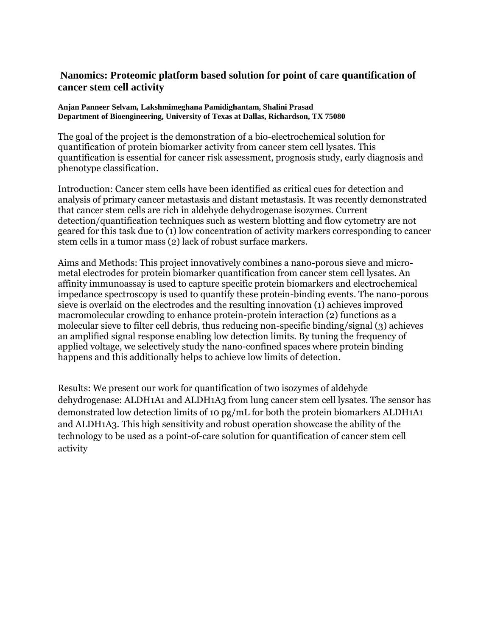# **Nanomics: Proteomic platform based solution for point of care quantification of cancer stem cell activity**

#### **Anjan Panneer Selvam, Lakshmimeghana Pamidighantam, Shalini Prasad Department of Bioengineering, University of Texas at Dallas, Richardson, TX 75080**

The goal of the project is the demonstration of a bio-electrochemical solution for quantification of protein biomarker activity from cancer stem cell lysates. This quantification is essential for cancer risk assessment, prognosis study, early diagnosis and phenotype classification.

Introduction: Cancer stem cells have been identified as critical cues for detection and analysis of primary cancer metastasis and distant metastasis. It was recently demonstrated that cancer stem cells are rich in aldehyde dehydrogenase isozymes. Current detection/quantification techniques such as western blotting and flow cytometry are not geared for this task due to (1) low concentration of activity markers corresponding to cancer stem cells in a tumor mass (2) lack of robust surface markers.

Aims and Methods: This project innovatively combines a nano-porous sieve and micrometal electrodes for protein biomarker quantification from cancer stem cell lysates. An affinity immunoassay is used to capture specific protein biomarkers and electrochemical impedance spectroscopy is used to quantify these protein-binding events. The nano-porous sieve is overlaid on the electrodes and the resulting innovation (1) achieves improved macromolecular crowding to enhance protein-protein interaction (2) functions as a molecular sieve to filter cell debris, thus reducing non-specific binding/signal (3) achieves an amplified signal response enabling low detection limits. By tuning the frequency of applied voltage, we selectively study the nano-confined spaces where protein binding happens and this additionally helps to achieve low limits of detection.

Results: We present our work for quantification of two isozymes of aldehyde dehydrogenase: ALDH1A1 and ALDH1A3 from lung cancer stem cell lysates. The sensor has demonstrated low detection limits of 10 pg/mL for both the protein biomarkers ALDH1A1 and ALDH1A3. This high sensitivity and robust operation showcase the ability of the technology to be used as a point-of-care solution for quantification of cancer stem cell activity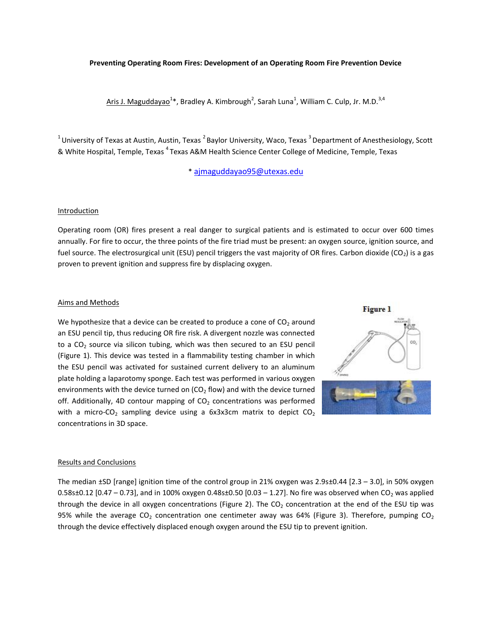#### **Preventing Operating Room Fires: Development of an Operating Room Fire Prevention Device**

Aris J. Maguddaya $e^{1*}$ , Bradley A. Kimbrough<sup>2</sup>, Sarah Luna<sup>1</sup>, William C. Culp, Jr. M.D.<sup>3,4</sup>

 $1$ University of Texas at Austin, Austin, Texas  $2$ Baylor University, Waco, Texas  $3$  Department of Anesthesiology, Scott & White Hospital, Temple, Texas <sup>4</sup>Texas A&M Health Science Center College of Medicine, Temple, Texas

\* [ajmaguddayao95@utexas.edu](mailto:ajmaguddayao95@utexas.edu)

#### **Introduction**

Operating room (OR) fires present a real danger to surgical patients and is estimated to occur over 600 times annually. For fire to occur, the three points of the fire triad must be present: an oxygen source, ignition source, and fuel source. The electrosurgical unit (ESU) pencil triggers the vast majority of OR fires. Carbon dioxide (CO<sub>2</sub>) is a gas proven to prevent ignition and suppress fire by displacing oxygen.

#### Aims and Methods

We hypothesize that a device can be created to produce a cone of  $CO<sub>2</sub>$  around an ESU pencil tip, thus reducing OR fire risk. A divergent nozzle was connected to a  $CO<sub>2</sub>$  source via silicon tubing, which was then secured to an ESU pencil (Figure 1). This device was tested in a flammability testing chamber in which the ESU pencil was activated for sustained current delivery to an aluminum plate holding a laparotomy sponge. Each test was performed in various oxygen environments with the device turned on  $(CO<sub>2</sub>$  flow) and with the device turned off. Additionally, 4D contour mapping of  $CO<sub>2</sub>$  concentrations was performed with a micro-CO<sub>2</sub> sampling device using a  $6x3x3cm$  matrix to depict  $CO<sub>2</sub>$ concentrations in 3D space.



#### Results and Conclusions

The median ±SD [range] ignition time of the control group in 21% oxygen was 2.9s±0.44 [2.3 – 3.0], in 50% oxygen  $0.58$ s $\pm$ 0.12 [0.47 – 0.73], and in 100% oxygen 0.48s $\pm$ 0.50 [0.03 – 1.27]. No fire was observed when CO<sub>2</sub> was applied through the device in all oxygen concentrations (Figure 2). The  $CO<sub>2</sub>$  concentration at the end of the ESU tip was 95% while the average CO<sub>2</sub> concentration one centimeter away was 64% (Figure 3). Therefore, pumping CO<sub>2</sub> through the device effectively displaced enough oxygen around the ESU tip to prevent ignition.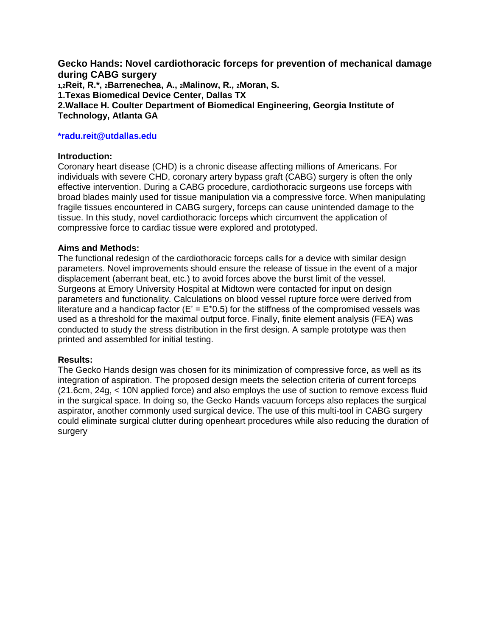**Gecko Hands: Novel cardiothoracic forceps for prevention of mechanical damage during CABG surgery 1,2Reit, R.\*, 2Barrenechea, A., 2Malinow, R., 2Moran, S. 1.Texas Biomedical Device Center, Dallas TX 2.Wallace H. Coulter Department of Biomedical Engineering, Georgia Institute of Technology, Atlanta GA**

## **\*radu.reit@utdallas.edu**

#### **Introduction:**

Coronary heart disease (CHD) is a chronic disease affecting millions of Americans. For individuals with severe CHD, coronary artery bypass graft (CABG) surgery is often the only effective intervention. During a CABG procedure, cardiothoracic surgeons use forceps with broad blades mainly used for tissue manipulation via a compressive force. When manipulating fragile tissues encountered in CABG surgery, forceps can cause unintended damage to the tissue. In this study, novel cardiothoracic forceps which circumvent the application of compressive force to cardiac tissue were explored and prototyped.

#### **Aims and Methods:**

The functional redesign of the cardiothoracic forceps calls for a device with similar design parameters. Novel improvements should ensure the release of tissue in the event of a major displacement (aberrant beat, etc.) to avoid forces above the burst limit of the vessel. Surgeons at Emory University Hospital at Midtown were contacted for input on design parameters and functionality. Calculations on blood vessel rupture force were derived from literature and a handicap factor ( $E' = E^*0.5$ ) for the stiffness of the compromised vessels was used as a threshold for the maximal output force. Finally, finite element analysis (FEA) was conducted to study the stress distribution in the first design. A sample prototype was then printed and assembled for initial testing.

#### **Results:**

The Gecko Hands design was chosen for its minimization of compressive force, as well as its integration of aspiration. The proposed design meets the selection criteria of current forceps (21.6cm, 24g, < 10N applied force) and also employs the use of suction to remove excess fluid in the surgical space. In doing so, the Gecko Hands vacuum forceps also replaces the surgical aspirator, another commonly used surgical device. The use of this multi-tool in CABG surgery could eliminate surgical clutter during openheart procedures while also reducing the duration of surgery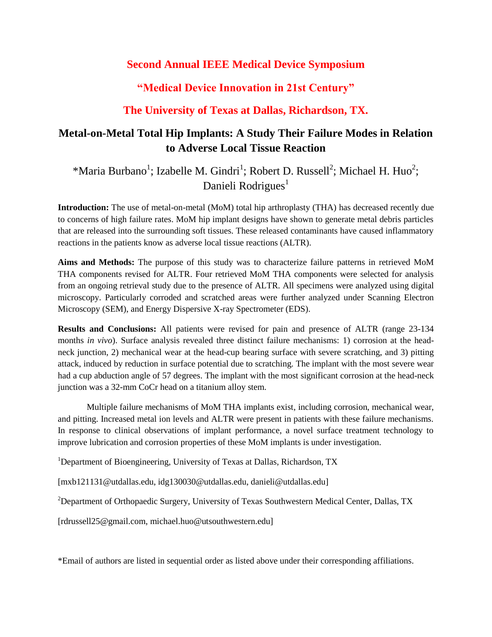# **Second Annual IEEE Medical Device Symposium**

# **"Medical Device Innovation in 21st Century"**

# **The University of Texas at Dallas, Richardson, TX.**

# **Metal-on-Metal Total Hip Implants: A Study Their Failure Modes in Relation to Adverse Local Tissue Reaction**

\*Maria Burbano<sup>1</sup>; Izabelle M. Gindri<sup>1</sup>; Robert D. Russell<sup>2</sup>; Michael H. Huo<sup>2</sup>; Danieli Rodrigues $<sup>1</sup>$ </sup>

**Introduction:** The use of metal-on-metal (MoM) total hip arthroplasty (THA) has decreased recently due to concerns of high failure rates. MoM hip implant designs have shown to generate metal debris particles that are released into the surrounding soft tissues. These released contaminants have caused inflammatory reactions in the patients know as adverse local tissue reactions (ALTR).

**Aims and Methods:** The purpose of this study was to characterize failure patterns in retrieved MoM THA components revised for ALTR. Four retrieved MoM THA components were selected for analysis from an ongoing retrieval study due to the presence of ALTR. All specimens were analyzed using digital microscopy. Particularly corroded and scratched areas were further analyzed under Scanning Electron Microscopy (SEM), and Energy Dispersive X-ray Spectrometer (EDS).

**Results and Conclusions:** All patients were revised for pain and presence of ALTR (range 23-134 months *in vivo*). Surface analysis revealed three distinct failure mechanisms: 1) corrosion at the headneck junction, 2) mechanical wear at the head-cup bearing surface with severe scratching, and 3) pitting attack, induced by reduction in surface potential due to scratching. The implant with the most severe wear had a cup abduction angle of 57 degrees. The implant with the most significant corrosion at the head-neck junction was a 32-mm CoCr head on a titanium alloy stem.

Multiple failure mechanisms of MoM THA implants exist, including corrosion, mechanical wear, and pitting. Increased metal ion levels and ALTR were present in patients with these failure mechanisms. In response to clinical observations of implant performance, a novel surface treatment technology to improve lubrication and corrosion properties of these MoM implants is under investigation.

<sup>1</sup>Department of Bioengineering, University of Texas at Dallas, Richardson, TX

[mxb121131@utdallas.edu, idg130030@utdallas.edu, danieli@utdallas.edu]

<sup>2</sup>Department of Orthopaedic Surgery, University of Texas Southwestern Medical Center, Dallas, TX

[rdrussell25@gmail.com, michael.huo@utsouthwestern.edu]

\*Email of authors are listed in sequential order as listed above under their corresponding affiliations.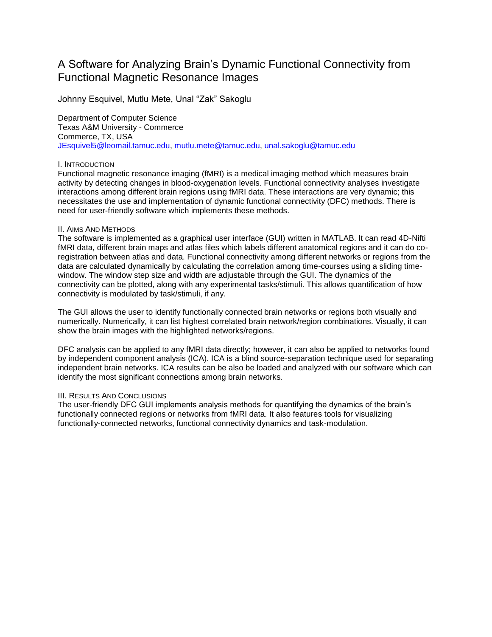# A Software for Analyzing Brain's Dynamic Functional Connectivity from Functional Magnetic Resonance Images

Johnny Esquivel, Mutlu Mete, Unal "Zak" Sakoglu

Department of Computer Science Texas A&M University - Commerce Commerce, TX, USA JEsquivel5@leomail.tamuc.edu, mutlu.mete@tamuc.edu, unal.sakoglu@tamuc.edu

#### I. INTRODUCTION

Functional magnetic resonance imaging (fMRI) is a medical imaging method which measures brain activity by detecting changes in blood-oxygenation levels. Functional connectivity analyses investigate interactions among different brain regions using fMRI data. These interactions are very dynamic; this necessitates the use and implementation of dynamic functional connectivity (DFC) methods. There is need for user-friendly software which implements these methods.

#### II. AIMS AND METHODS

The software is implemented as a graphical user interface (GUI) written in MATLAB. It can read 4D-Nifti fMRI data, different brain maps and atlas files which labels different anatomical regions and it can do coregistration between atlas and data. Functional connectivity among different networks or regions from the data are calculated dynamically by calculating the correlation among time-courses using a sliding timewindow. The window step size and width are adjustable through the GUI. The dynamics of the connectivity can be plotted, along with any experimental tasks/stimuli. This allows quantification of how connectivity is modulated by task/stimuli, if any.

The GUI allows the user to identify functionally connected brain networks or regions both visually and numerically. Numerically, it can list highest correlated brain network/region combinations. Visually, it can show the brain images with the highlighted networks/regions.

DFC analysis can be applied to any fMRI data directly; however, it can also be applied to networks found by independent component analysis (ICA). ICA is a blind source-separation technique used for separating independent brain networks. ICA results can be also be loaded and analyzed with our software which can identify the most significant connections among brain networks.

#### III. RESULTS AND CONCLUSIONS

The user-friendly DFC GUI implements analysis methods for quantifying the dynamics of the brain's functionally connected regions or networks from fMRI data. It also features tools for visualizing functionally-connected networks, functional connectivity dynamics and task-modulation.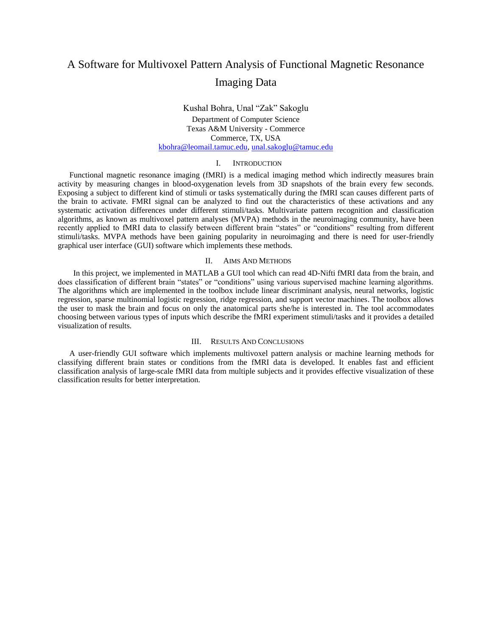# A Software for Multivoxel Pattern Analysis of Functional Magnetic Resonance Imaging Data

#### Kushal Bohra, Unal "Zak" Sakoglu Department of Computer Science Texas A&M University - Commerce Commerce, TX, USA [kbohra@leomail.tamuc.edu,](mailto:kbohra@leomail.tamuc.edu) [unal.sakoglu@tamuc.edu](mailto:unal.sakoglu@tamuc.edu)

#### I. INTRODUCTION

Functional magnetic resonance imaging (fMRI) is a medical imaging method which indirectly measures brain activity by measuring changes in blood-oxygenation levels from 3D snapshots of the brain every few seconds. Exposing a subject to different kind of stimuli or tasks systematically during the fMRI scan causes different parts of the brain to activate. FMRI signal can be analyzed to find out the characteristics of these activations and any systematic activation differences under different stimuli/tasks. Multivariate pattern recognition and classification algorithms, as known as multivoxel pattern analyses (MVPA) methods in the neuroimaging community, have been recently applied to fMRI data to classify between different brain "states" or "conditions" resulting from different stimuli/tasks. MVPA methods have been gaining popularity in neuroimaging and there is need for user-friendly graphical user interface (GUI) software which implements these methods.

#### II. AIMS AND METHODS

 In this project, we implemented in MATLAB a GUI tool which can read 4D-Nifti fMRI data from the brain, and does classification of different brain "states" or "conditions" using various supervised machine learning algorithms. The algorithms which are implemented in the toolbox include linear discriminant analysis, neural networks, logistic regression, sparse multinomial logistic regression, ridge regression, and support vector machines. The toolbox allows the user to mask the brain and focus on only the anatomical parts she/he is interested in. The tool accommodates choosing between various types of inputs which describe the fMRI experiment stimuli/tasks and it provides a detailed visualization of results.

#### III. RESULTS AND CONCLUSIONS

A user-friendly GUI software which implements multivoxel pattern analysis or machine learning methods for classifying different brain states or conditions from the fMRI data is developed. It enables fast and efficient classification analysis of large-scale fMRI data from multiple subjects and it provides effective visualization of these classification results for better interpretation.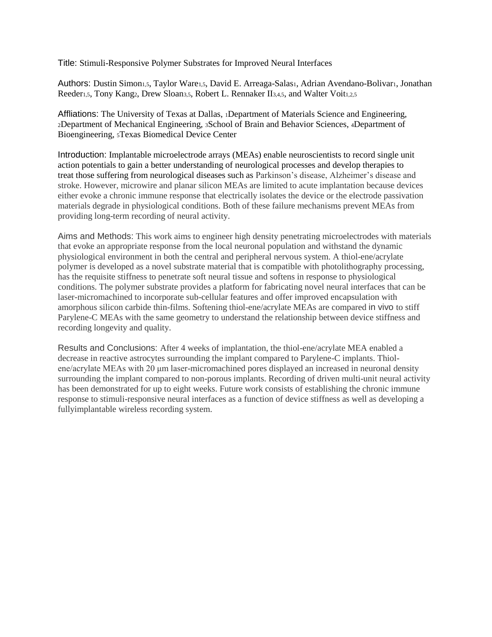Title: Stimuli-Responsive Polymer Substrates for Improved Neural Interfaces

Authors: Dustin Simon1,5, Taylor Ware1,5, David E. Arreaga-Salas1, Adrian Avendano-Bolivar1, Jonathan Reeder<sub>1,5</sub>, Tony Kang<sub>2</sub>, Drew Sloan<sub>3,5</sub>, Robert L. Rennaker II<sub>3,4,5</sub>, and Walter Voit<sub>1,2,5</sub>

Affliations: The University of Texas at Dallas, 1Department of Materials Science and Engineering, <sup>2</sup>Department of Mechanical Engineering, 3School of Brain and Behavior Sciences, 4Department of Bioengineering, 5Texas Biomedical Device Center

Introduction: Implantable microelectrode arrays (MEAs) enable neuroscientists to record single unit action potentials to gain a better understanding of neurological processes and develop therapies to treat those suffering from neurological diseases such as Parkinson's disease, Alzheimer's disease and stroke. However, microwire and planar silicon MEAs are limited to acute implantation because devices either evoke a chronic immune response that electrically isolates the device or the electrode passivation materials degrade in physiological conditions. Both of these failure mechanisms prevent MEAs from providing long-term recording of neural activity.

Aims and Methods: This work aims to engineer high density penetrating microelectrodes with materials that evoke an appropriate response from the local neuronal population and withstand the dynamic physiological environment in both the central and peripheral nervous system. A thiol-ene/acrylate polymer is developed as a novel substrate material that is compatible with photolithography processing, has the requisite stiffness to penetrate soft neural tissue and softens in response to physiological conditions. The polymer substrate provides a platform for fabricating novel neural interfaces that can be laser-micromachined to incorporate sub-cellular features and offer improved encapsulation with amorphous silicon carbide thin-films. Softening thiol-ene/acrylate MEAs are compared in vivo to stiff Parylene-C MEAs with the same geometry to understand the relationship between device stiffness and recording longevity and quality.

Results and Conclusions: After 4 weeks of implantation, the thiol-ene/acrylate MEA enabled a decrease in reactive astrocytes surrounding the implant compared to Parylene-C implants. Thiolene/acrylate MEAs with 20 μm laser-micromachined pores displayed an increased in neuronal density surrounding the implant compared to non-porous implants. Recording of driven multi-unit neural activity has been demonstrated for up to eight weeks. Future work consists of establishing the chronic immune response to stimuli-responsive neural interfaces as a function of device stiffness as well as developing a fullyimplantable wireless recording system.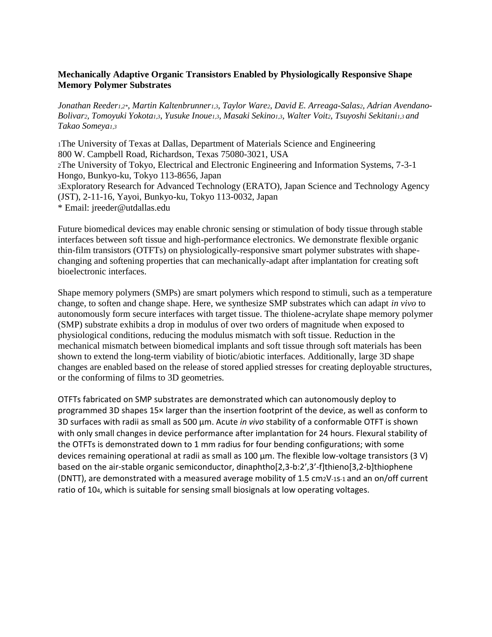# **Mechanically Adaptive Organic Transistors Enabled by Physiologically Responsive Shape Memory Polymer Substrates**

*Jonathan Reeder1,2\*, Martin Kaltenbrunner1,3, Taylor Ware2, David E. Arreaga-Salas2, Adrian Avendano-Bolivar2, Tomoyuki Yokota1,3*, *Yusuke Inoue1,3, Masaki Sekino1,3, Walter Voit2, Tsuyoshi Sekitani1,3 and Takao Someya1,3* 

<sup>1</sup>The University of Texas at Dallas, Department of Materials Science and Engineering 800 W. Campbell Road, Richardson, Texas 75080-3021, USA <sup>2</sup>The University of Tokyo, Electrical and Electronic Engineering and Information Systems, 7-3-1 Hongo, Bunkyo-ku, Tokyo 113-8656, Japan <sup>3</sup>Exploratory Research for Advanced Technology (ERATO), Japan Science and Technology Agency (JST), 2-11-16, Yayoi, Bunkyo-ku, Tokyo 113-0032, Japan \* Email: jreeder@utdallas.edu

Future biomedical devices may enable chronic sensing or stimulation of body tissue through stable interfaces between soft tissue and high-performance electronics. We demonstrate flexible organic thin-film transistors (OTFTs) on physiologically-responsive smart polymer substrates with shapechanging and softening properties that can mechanically-adapt after implantation for creating soft bioelectronic interfaces.

Shape memory polymers (SMPs) are smart polymers which respond to stimuli, such as a temperature change, to soften and change shape. Here, we synthesize SMP substrates which can adapt *in vivo* to autonomously form secure interfaces with target tissue. The thiolene-acrylate shape memory polymer (SMP) substrate exhibits a drop in modulus of over two orders of magnitude when exposed to physiological conditions, reducing the modulus mismatch with soft tissue. Reduction in the mechanical mismatch between biomedical implants and soft tissue through soft materials has been shown to extend the long-term viability of biotic/abiotic interfaces. Additionally, large 3D shape changes are enabled based on the release of stored applied stresses for creating deployable structures, or the conforming of films to 3D geometries.

OTFTs fabricated on SMP substrates are demonstrated which can autonomously deploy to programmed 3D shapes 15× larger than the insertion footprint of the device, as well as conform to 3D surfaces with radii as small as 500 μm. Acute *in vivo* stability of a conformable OTFT is shown with only small changes in device performance after implantation for 24 hours. Flexural stability of the OTFTs is demonstrated down to 1 mm radius for four bending configurations; with some devices remaining operational at radii as small as 100 μm. The flexible low-voltage transistors (3 V) based on the air-stable organic semiconductor, dinaphtho[2,3-b:2',3'-f]thieno[3,2-b]thiophene (DNTT), are demonstrated with a measured average mobility of 1.5 cm2V-1s-1 and an on/off current ratio of 104, which is suitable for sensing small biosignals at low operating voltages.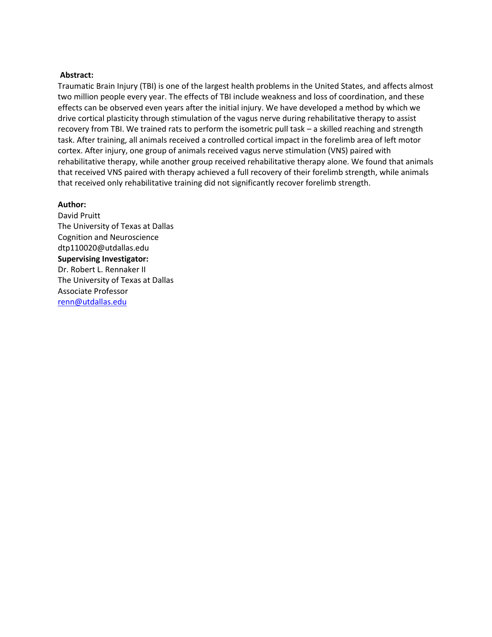## **Abstract:**

Traumatic Brain Injury (TBI) is one of the largest health problems in the United States, and affects almost two million people every year. The effects of TBI include weakness and loss of coordination, and these effects can be observed even years after the initial injury. We have developed a method by which we drive cortical plasticity through stimulation of the vagus nerve during rehabilitative therapy to assist recovery from TBI. We trained rats to perform the isometric pull task – a skilled reaching and strength task. After training, all animals received a controlled cortical impact in the forelimb area of left motor cortex. After injury, one group of animals received vagus nerve stimulation (VNS) paired with rehabilitative therapy, while another group received rehabilitative therapy alone. We found that animals that received VNS paired with therapy achieved a full recovery of their forelimb strength, while animals that received only rehabilitative training did not significantly recover forelimb strength.

#### **Author:**

David Pruitt The University of Texas at Dallas Cognition and Neuroscience dtp110020@utdallas.edu **Supervising Investigator:**  Dr. Robert L. Rennaker II The University of Texas at Dallas Associate Professor [renn@utdallas.edu](mailto:renn@utdallas.edu)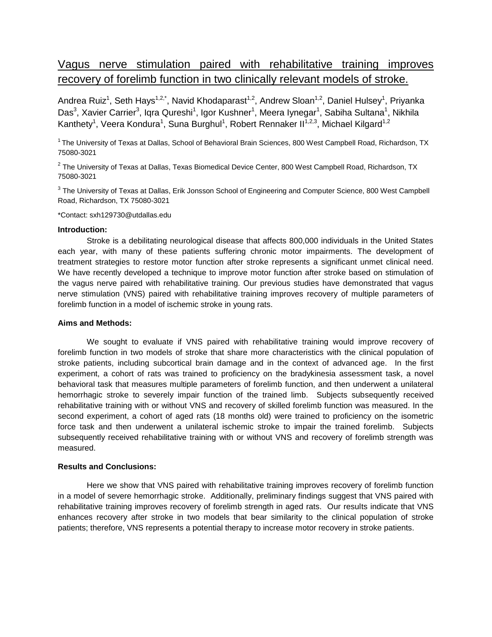# Vagus nerve stimulation paired with rehabilitative training improves recovery of forelimb function in two clinically relevant models of stroke.

Andrea Ruiz<sup>1</sup>, Seth Hays<sup>1,2,\*</sup>, Navid Khodaparast<sup>1,2</sup>, Andrew Sloan<sup>1,2</sup>, Daniel Hulsey<sup>1</sup>, Priyanka Das<sup>3</sup>, Xavier Carrier<sup>3</sup>, Iqra Qureshi<sup>1</sup>, Igor Kushner<sup>1</sup>, Meera Iynegar<sup>1</sup>, Sabiha Sultana<sup>1</sup>, Nikhila Kanthety<sup>1</sup>, Veera Kondura<sup>1</sup>, Suna Burghul<sup>1</sup>, Robert Rennaker II<sup>1,2,3</sup>, Michael Kilgard<sup>1,2</sup>

 $1$ The University of Texas at Dallas, School of Behavioral Brain Sciences, 800 West Campbell Road, Richardson, TX 75080-3021

 $^{\rm 2}$  The University of Texas at Dallas, Texas Biomedical Device Center, 800 West Campbell Road, Richardson, TX 75080-3021

 $^3$  The University of Texas at Dallas, Erik Jonsson School of Engineering and Computer Science, 800 West Campbell Road, Richardson, TX 75080-3021

#### \*Contact: sxh129730@utdallas.edu

#### **Introduction:**

Stroke is a debilitating neurological disease that affects 800,000 individuals in the United States each year, with many of these patients suffering chronic motor impairments. The development of treatment strategies to restore motor function after stroke represents a significant unmet clinical need. We have recently developed a technique to improve motor function after stroke based on stimulation of the vagus nerve paired with rehabilitative training. Our previous studies have demonstrated that vagus nerve stimulation (VNS) paired with rehabilitative training improves recovery of multiple parameters of forelimb function in a model of ischemic stroke in young rats.

#### **Aims and Methods:**

We sought to evaluate if VNS paired with rehabilitative training would improve recovery of forelimb function in two models of stroke that share more characteristics with the clinical population of stroke patients, including subcortical brain damage and in the context of advanced age. In the first experiment, a cohort of rats was trained to proficiency on the bradykinesia assessment task, a novel behavioral task that measures multiple parameters of forelimb function, and then underwent a unilateral hemorrhagic stroke to severely impair function of the trained limb. Subjects subsequently received rehabilitative training with or without VNS and recovery of skilled forelimb function was measured. In the second experiment, a cohort of aged rats (18 months old) were trained to proficiency on the isometric force task and then underwent a unilateral ischemic stroke to impair the trained forelimb. Subjects subsequently received rehabilitative training with or without VNS and recovery of forelimb strength was measured.

#### **Results and Conclusions:**

Here we show that VNS paired with rehabilitative training improves recovery of forelimb function in a model of severe hemorrhagic stroke. Additionally, preliminary findings suggest that VNS paired with rehabilitative training improves recovery of forelimb strength in aged rats. Our results indicate that VNS enhances recovery after stroke in two models that bear similarity to the clinical population of stroke patients; therefore, VNS represents a potential therapy to increase motor recovery in stroke patients.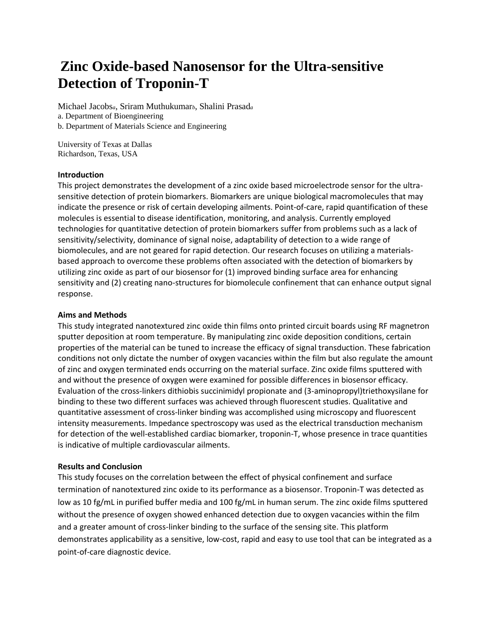# **Zinc Oxide-based Nanosensor for the Ultra-sensitive Detection of Troponin-T**

Michael Jacobs*a*, Sriram Muthukumar*b*, Shalini Prasad*<sup>a</sup>* a. Department of Bioengineering b. Department of Materials Science and Engineering

University of Texas at Dallas Richardson, Texas, USA

## **Introduction**

This project demonstrates the development of a zinc oxide based microelectrode sensor for the ultrasensitive detection of protein biomarkers. Biomarkers are unique biological macromolecules that may indicate the presence or risk of certain developing ailments. Point-of-care, rapid quantification of these molecules is essential to disease identification, monitoring, and analysis. Currently employed technologies for quantitative detection of protein biomarkers suffer from problems such as a lack of sensitivity/selectivity, dominance of signal noise, adaptability of detection to a wide range of biomolecules, and are not geared for rapid detection. Our research focuses on utilizing a materialsbased approach to overcome these problems often associated with the detection of biomarkers by utilizing zinc oxide as part of our biosensor for (1) improved binding surface area for enhancing sensitivity and (2) creating nano-structures for biomolecule confinement that can enhance output signal response.

#### **Aims and Methods**

This study integrated nanotextured zinc oxide thin films onto printed circuit boards using RF magnetron sputter deposition at room temperature. By manipulating zinc oxide deposition conditions, certain properties of the material can be tuned to increase the efficacy of signal transduction. These fabrication conditions not only dictate the number of oxygen vacancies within the film but also regulate the amount of zinc and oxygen terminated ends occurring on the material surface. Zinc oxide films sputtered with and without the presence of oxygen were examined for possible differences in biosensor efficacy. Evaluation of the cross-linkers dithiobis succinimidyl propionate and (3-aminopropyl)triethoxysilane for binding to these two different surfaces was achieved through fluorescent studies. Qualitative and quantitative assessment of cross-linker binding was accomplished using microscopy and fluorescent intensity measurements. Impedance spectroscopy was used as the electrical transduction mechanism for detection of the well-established cardiac biomarker, troponin-T, whose presence in trace quantities is indicative of multiple cardiovascular ailments.

#### **Results and Conclusion**

This study focuses on the correlation between the effect of physical confinement and surface termination of nanotextured zinc oxide to its performance as a biosensor. Troponin-T was detected as low as 10 fg/mL in purified buffer media and 100 fg/mL in human serum. The zinc oxide films sputtered without the presence of oxygen showed enhanced detection due to oxygen vacancies within the film and a greater amount of cross-linker binding to the surface of the sensing site. This platform demonstrates applicability as a sensitive, low-cost, rapid and easy to use tool that can be integrated as a point-of-care diagnostic device.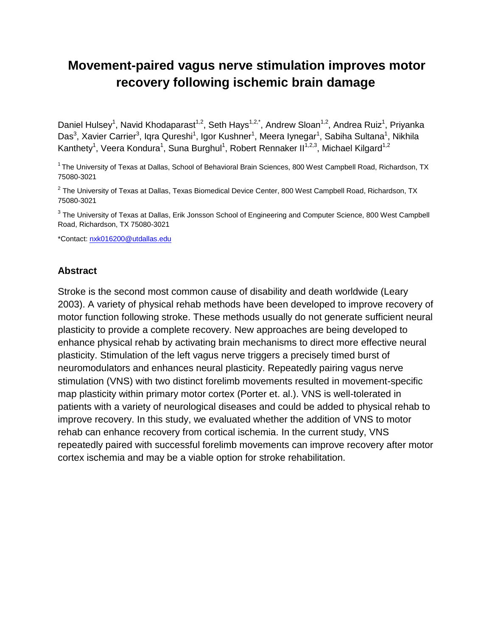# **Movement-paired vagus nerve stimulation improves motor recovery following ischemic brain damage**

Daniel Hulsey<sup>1</sup>, Navid Khodaparast<sup>1,2</sup>, Seth Hays<sup>1,2,\*</sup>, Andrew Sloan<sup>1,2</sup>, Andrea Ruiz<sup>1</sup>, Priyanka Das<sup>3</sup>, Xavier Carrier<sup>3</sup>, Iqra Qureshi<sup>1</sup>, Igor Kushner<sup>1</sup>, Meera Iynegar<sup>1</sup>, Sabiha Sultana<sup>1</sup>, Nikhila Kanthety<sup>1</sup>, Veera Kondura<sup>1</sup>, Suna Burghul<sup>1</sup>, Robert Rennaker II<sup>1,2,3</sup>, Michael Kilgard<sup>1,2</sup>

 $1$ The University of Texas at Dallas, School of Behavioral Brain Sciences, 800 West Campbell Road, Richardson, TX 75080-3021

 $^{\text{2}}$  The University of Texas at Dallas, Texas Biomedical Device Center, 800 West Campbell Road, Richardson, TX 75080-3021

 $^3$  The University of Texas at Dallas, Erik Jonsson School of Engineering and Computer Science, 800 West Campbell Road, Richardson, TX 75080-3021

\*Contact[: nxk016200@utdallas.edu](mailto:nxk016200@utdallas.edu)

# **Abstract**

Stroke is the second most common cause of disability and death worldwide (Leary 2003). A variety of physical rehab methods have been developed to improve recovery of motor function following stroke. These methods usually do not generate sufficient neural plasticity to provide a complete recovery. New approaches are being developed to enhance physical rehab by activating brain mechanisms to direct more effective neural plasticity. Stimulation of the left vagus nerve triggers a precisely timed burst of neuromodulators and enhances neural plasticity. Repeatedly pairing vagus nerve stimulation (VNS) with two distinct forelimb movements resulted in movement-specific map plasticity within primary motor cortex (Porter et. al.). VNS is well-tolerated in patients with a variety of neurological diseases and could be added to physical rehab to improve recovery. In this study, we evaluated whether the addition of VNS to motor rehab can enhance recovery from cortical ischemia. In the current study, VNS repeatedly paired with successful forelimb movements can improve recovery after motor cortex ischemia and may be a viable option for stroke rehabilitation.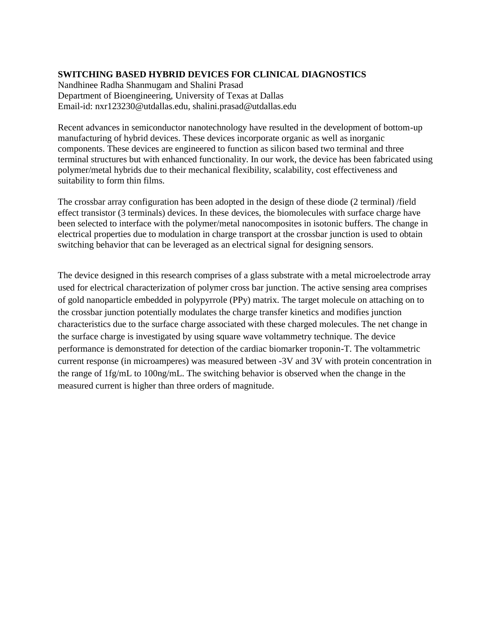# **SWITCHING BASED HYBRID DEVICES FOR CLINICAL DIAGNOSTICS**

Nandhinee Radha Shanmugam and Shalini Prasad Department of Bioengineering, University of Texas at Dallas Email-id: nxr123230@utdallas.edu, shalini.prasad@utdallas.edu

Recent advances in semiconductor nanotechnology have resulted in the development of bottom-up manufacturing of hybrid devices. These devices incorporate organic as well as inorganic components. These devices are engineered to function as silicon based two terminal and three terminal structures but with enhanced functionality. In our work, the device has been fabricated using polymer/metal hybrids due to their mechanical flexibility, scalability, cost effectiveness and suitability to form thin films.

The crossbar array configuration has been adopted in the design of these diode (2 terminal) /field effect transistor (3 terminals) devices. In these devices, the biomolecules with surface charge have been selected to interface with the polymer/metal nanocomposites in isotonic buffers. The change in electrical properties due to modulation in charge transport at the crossbar junction is used to obtain switching behavior that can be leveraged as an electrical signal for designing sensors.

The device designed in this research comprises of a glass substrate with a metal microelectrode array used for electrical characterization of polymer cross bar junction. The active sensing area comprises of gold nanoparticle embedded in polypyrrole (PPy) matrix. The target molecule on attaching on to the crossbar junction potentially modulates the charge transfer kinetics and modifies junction characteristics due to the surface charge associated with these charged molecules. The net change in the surface charge is investigated by using square wave voltammetry technique. The device performance is demonstrated for detection of the cardiac biomarker troponin-T. The voltammetric current response (in microamperes) was measured between -3V and 3V with protein concentration in the range of 1fg/mL to 100ng/mL. The switching behavior is observed when the change in the measured current is higher than three orders of magnitude.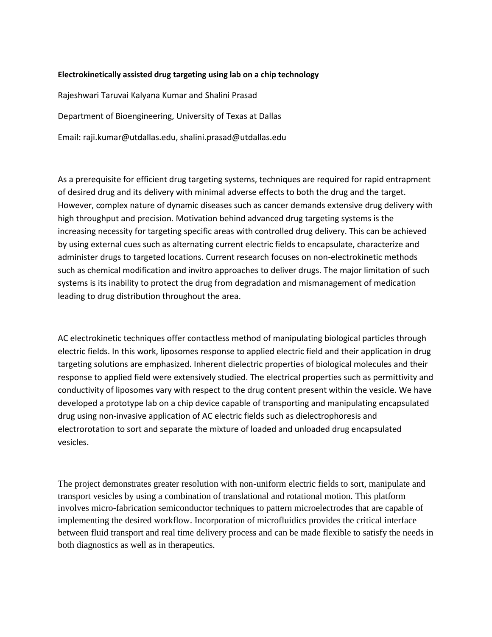## **Electrokinetically assisted drug targeting using lab on a chip technology**

Rajeshwari Taruvai Kalyana Kumar and Shalini Prasad Department of Bioengineering, University of Texas at Dallas Email: raji.kumar@utdallas.edu, shalini.prasad@utdallas.edu

As a prerequisite for efficient drug targeting systems, techniques are required for rapid entrapment of desired drug and its delivery with minimal adverse effects to both the drug and the target. However, complex nature of dynamic diseases such as cancer demands extensive drug delivery with high throughput and precision. Motivation behind advanced drug targeting systems is the increasing necessity for targeting specific areas with controlled drug delivery. This can be achieved by using external cues such as alternating current electric fields to encapsulate, characterize and administer drugs to targeted locations. Current research focuses on non-electrokinetic methods such as chemical modification and invitro approaches to deliver drugs. The major limitation of such systems is its inability to protect the drug from degradation and mismanagement of medication leading to drug distribution throughout the area.

AC electrokinetic techniques offer contactless method of manipulating biological particles through electric fields. In this work, liposomes response to applied electric field and their application in drug targeting solutions are emphasized. Inherent dielectric properties of biological molecules and their response to applied field were extensively studied. The electrical properties such as permittivity and conductivity of liposomes vary with respect to the drug content present within the vesicle. We have developed a prototype lab on a chip device capable of transporting and manipulating encapsulated drug using non-invasive application of AC electric fields such as dielectrophoresis and electrorotation to sort and separate the mixture of loaded and unloaded drug encapsulated vesicles.

The project demonstrates greater resolution with non-uniform electric fields to sort, manipulate and transport vesicles by using a combination of translational and rotational motion. This platform involves micro-fabrication semiconductor techniques to pattern microelectrodes that are capable of implementing the desired workflow. Incorporation of microfluidics provides the critical interface between fluid transport and real time delivery process and can be made flexible to satisfy the needs in both diagnostics as well as in therapeutics.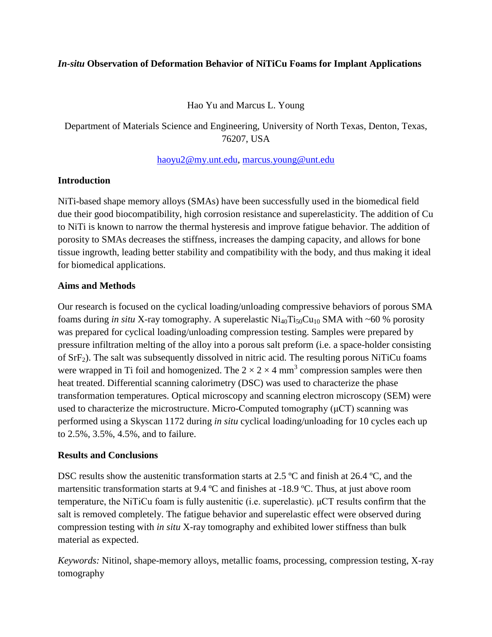# *In-situ* **Observation of Deformation Behavior of NiTiCu Foams for Implant Applications**

Hao Yu and Marcus L. Young

Department of Materials Science and Engineering, University of North Texas, Denton, Texas, 76207, USA

# [haoyu2@my.unt.edu,](mailto:haoyu2@my.unt.edu) [marcus.young@unt.edu](mailto:marcus.young@unt.edu)

# **Introduction**

NiTi-based shape memory alloys (SMAs) have been successfully used in the biomedical field due their good biocompatibility, high corrosion resistance and superelasticity. The addition of Cu to NiTi is known to narrow the thermal hysteresis and improve fatigue behavior. The addition of porosity to SMAs decreases the stiffness, increases the damping capacity, and allows for bone tissue ingrowth, leading better stability and compatibility with the body, and thus making it ideal for biomedical applications.

# **Aims and Methods**

Our research is focused on the cyclical loading/unloading compressive behaviors of porous SMA foams during *in situ* X-ray tomography. A superelastic  $\text{Ni}_{40}\text{Ti}_{50}\text{Cu}_{10}$  SMA with ~60 % porosity was prepared for cyclical loading/unloading compression testing. Samples were prepared by pressure infiltration melting of the alloy into a porous salt preform (i.e. a space-holder consisting of SrF2). The salt was subsequently dissolved in nitric acid. The resulting porous NiTiCu foams were wrapped in Ti foil and homogenized. The  $2 \times 2 \times 4$  mm<sup>3</sup> compression samples were then heat treated. Differential scanning calorimetry (DSC) was used to characterize the phase transformation temperatures. Optical microscopy and scanning electron microscopy (SEM) were used to characterize the microstructure. Micro-Computed tomography  $(\mu$ CT) scanning was performed using a Skyscan 1172 during *in situ* cyclical loading/unloading for 10 cycles each up to 2.5%, 3.5%, 4.5%, and to failure.

# **Results and Conclusions**

DSC results show the austenitic transformation starts at 2.5 °C and finish at 26.4 °C, and the martensitic transformation starts at 9.4 ºC and finishes at -18.9 ºC. Thus, at just above room temperature, the NiTiCu foam is fully austenitic (i.e. superelastic). μCT results confirm that the salt is removed completely. The fatigue behavior and superelastic effect were observed during compression testing with *in situ* X-ray tomography and exhibited lower stiffness than bulk material as expected.

*Keywords:* Nitinol, shape-memory alloys, metallic foams, processing, compression testing, X-ray tomography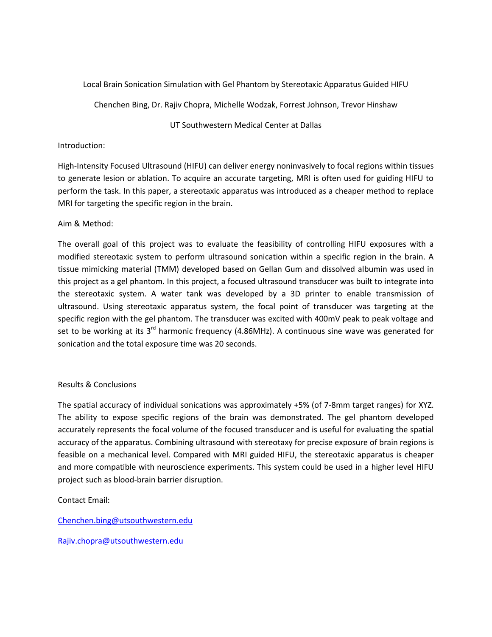# Local Brain Sonication Simulation with Gel Phantom by Stereotaxic Apparatus Guided HIFU

Chenchen Bing, Dr. Rajiv Chopra, Michelle Wodzak, Forrest Johnson, Trevor Hinshaw

## UT Southwestern Medical Center at Dallas

# Introduction:

High-Intensity Focused Ultrasound (HIFU) can deliver energy noninvasively to focal regions within tissues to generate lesion or ablation. To acquire an accurate targeting, MRI is often used for guiding HIFU to perform the task. In this paper, a stereotaxic apparatus was introduced as a cheaper method to replace MRI for targeting the specific region in the brain.

# Aim & Method:

The overall goal of this project was to evaluate the feasibility of controlling HIFU exposures with a modified stereotaxic system to perform ultrasound sonication within a specific region in the brain. A tissue mimicking material (TMM) developed based on Gellan Gum and dissolved albumin was used in this project as a gel phantom. In this project, a focused ultrasound transducer was built to integrate into the stereotaxic system. A water tank was developed by a 3D printer to enable transmission of ultrasound. Using stereotaxic apparatus system, the focal point of transducer was targeting at the specific region with the gel phantom. The transducer was excited with 400mV peak to peak voltage and set to be working at its  $3<sup>rd</sup>$  harmonic frequency (4.86MHz). A continuous sine wave was generated for sonication and the total exposure time was 20 seconds.

## Results & Conclusions

The spatial accuracy of individual sonications was approximately +5% (of 7-8mm target ranges) for XYZ. The ability to expose specific regions of the brain was demonstrated. The gel phantom developed accurately represents the focal volume of the focused transducer and is useful for evaluating the spatial accuracy of the apparatus. Combining ultrasound with stereotaxy for precise exposure of brain regions is feasible on a mechanical level. Compared with MRI guided HIFU, the stereotaxic apparatus is cheaper and more compatible with neuroscience experiments. This system could be used in a higher level HIFU project such as blood-brain barrier disruption.

# Contact Email:

[Chenchen.bing@utsouthwestern.edu](mailto:Chenchen.bing@utsouthwestern.edu)

[Rajiv.chopra@utsouthwestern.edu](mailto:Rajiv.chopra@utsouthwestern.edu)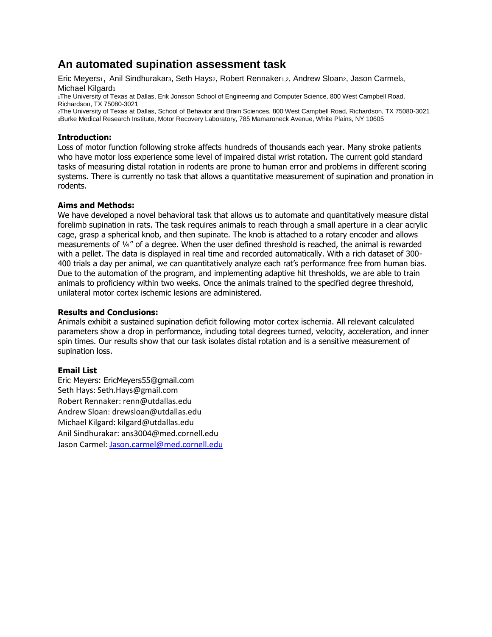# **An automated supination assessment task**

Eric Meyers<sub>1</sub>, Anil Sindhurakar<sub>3</sub>, Seth Hays<sub>2</sub>, Robert Rennaker<sub>1,2</sub>, Andrew Sloan<sub>2</sub>, Jason Carmel<sub>3</sub>, Michael Kilgard<sub>1</sub>

<sup>1</sup>The University of Texas at Dallas, Erik Jonsson School of Engineering and Computer Science, 800 West Campbell Road, Richardson, TX 75080-3021

<sup>2</sup>The University of Texas at Dallas, School of Behavior and Brain Sciences, 800 West Campbell Road, Richardson, TX 75080-3021 <sup>3</sup>Burke Medical Research Institute, Motor Recovery Laboratory, 785 Mamaroneck Avenue, White Plains, NY 10605

## **Introduction:**

Loss of motor function following stroke affects hundreds of thousands each year. Many stroke patients who have motor loss experience some level of impaired distal wrist rotation. The current gold standard tasks of measuring distal rotation in rodents are prone to human error and problems in different scoring systems. There is currently no task that allows a quantitative measurement of supination and pronation in rodents.

# **Aims and Methods:**

We have developed a novel behavioral task that allows us to automate and quantitatively measure distal forelimb supination in rats. The task requires animals to reach through a small aperture in a clear acrylic cage, grasp a spherical knob, and then supinate. The knob is attached to a rotary encoder and allows measurements of ¼" of a degree. When the user defined threshold is reached, the animal is rewarded with a pellet. The data is displayed in real time and recorded automatically. With a rich dataset of 300- 400 trials a day per animal, we can quantitatively analyze each rat's performance free from human bias. Due to the automation of the program, and implementing adaptive hit thresholds, we are able to train animals to proficiency within two weeks. Once the animals trained to the specified degree threshold, unilateral motor cortex ischemic lesions are administered.

## **Results and Conclusions:**

Animals exhibit a sustained supination deficit following motor cortex ischemia. All relevant calculated parameters show a drop in performance, including total degrees turned, velocity, acceleration, and inner spin times. Our results show that our task isolates distal rotation and is a sensitive measurement of supination loss.

# **Email List**

Eric Meyers: EricMeyers55@gmail.com Seth Hays: Seth.Hays@gmail.com Robert Rennaker: renn@utdallas.edu Andrew Sloan: drewsloan@utdallas.edu Michael Kilgard: kilgard@utdallas.edu Anil Sindhurakar: ans3004@med.cornell.edu Jason Carmel: [Jason.carmel@med.cornell.edu](mailto:Jason.carmel@med.cornell.edu)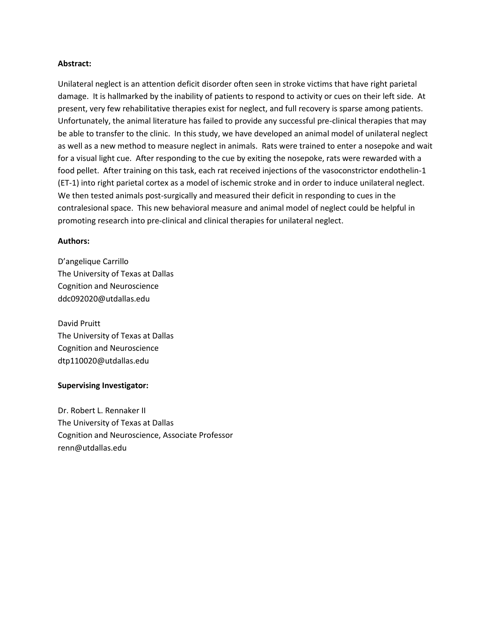#### **Abstract:**

Unilateral neglect is an attention deficit disorder often seen in stroke victims that have right parietal damage. It is hallmarked by the inability of patients to respond to activity or cues on their left side. At present, very few rehabilitative therapies exist for neglect, and full recovery is sparse among patients. Unfortunately, the animal literature has failed to provide any successful pre-clinical therapies that may be able to transfer to the clinic. In this study, we have developed an animal model of unilateral neglect as well as a new method to measure neglect in animals. Rats were trained to enter a nosepoke and wait for a visual light cue. After responding to the cue by exiting the nosepoke, rats were rewarded with a food pellet. After training on this task, each rat received injections of the vasoconstrictor endothelin-1 (ET-1) into right parietal cortex as a model of ischemic stroke and in order to induce unilateral neglect. We then tested animals post-surgically and measured their deficit in responding to cues in the contralesional space. This new behavioral measure and animal model of neglect could be helpful in promoting research into pre-clinical and clinical therapies for unilateral neglect.

#### **Authors:**

D'angelique Carrillo The University of Texas at Dallas Cognition and Neuroscience ddc092020@utdallas.edu

David Pruitt The University of Texas at Dallas Cognition and Neuroscience dtp110020@utdallas.edu

#### **Supervising Investigator:**

Dr. Robert L. Rennaker II The University of Texas at Dallas Cognition and Neuroscience, Associate Professor renn@utdallas.edu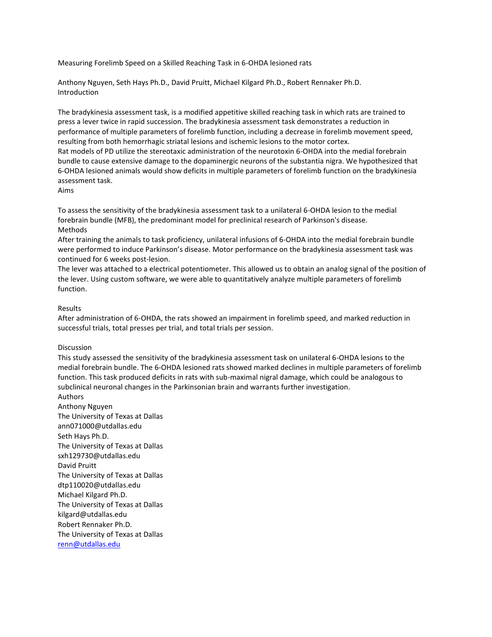Measuring Forelimb Speed on a Skilled Reaching Task in 6-OHDA lesioned rats

Anthony Nguyen, Seth Hays Ph.D., David Pruitt, Michael Kilgard Ph.D., Robert Rennaker Ph.D. Introduction

The bradykinesia assessment task, is a modified appetitive skilled reaching task in which rats are trained to press a lever twice in rapid succession. The bradykinesia assessment task demonstrates a reduction in performance of multiple parameters of forelimb function, including a decrease in forelimb movement speed, resulting from both hemorrhagic striatal lesions and ischemic lesions to the motor cortex. Rat models of PD utilize the stereotaxic administration of the neurotoxin 6-OHDA into the medial forebrain bundle to cause extensive damage to the dopaminergic neurons of the substantia nigra. We hypothesized that 6-OHDA lesioned animals would show deficits in multiple parameters of forelimb function on the bradykinesia assessment task.

Aims

To assess the sensitivity of the bradykinesia assessment task to a unilateral 6-OHDA lesion to the medial forebrain bundle (MFB), the predominant model for preclinical research of Parkinson's disease. Methods

After training the animals to task proficiency, unilateral infusions of 6-OHDA into the medial forebrain bundle were performed to induce Parkinson's disease. Motor performance on the bradykinesia assessment task was continued for 6 weeks post-lesion.

The lever was attached to a electrical potentiometer. This allowed us to obtain an analog signal of the position of the lever. Using custom software, we were able to quantitatively analyze multiple parameters of forelimb function.

#### Results

After administration of 6-OHDA, the rats showed an impairment in forelimb speed, and marked reduction in successful trials, total presses per trial, and total trials per session.

#### Discussion

This study assessed the sensitivity of the bradykinesia assessment task on unilateral 6-OHDA lesions to the medial forebrain bundle. The 6-OHDA lesioned rats showed marked declines in multiple parameters of forelimb function. This task produced deficits in rats with sub-maximal nigral damage, which could be analogous to subclinical neuronal changes in the Parkinsonian brain and warrants further investigation. Authors

Anthony Nguyen The University of Texas at Dallas ann071000@utdallas.edu Seth Hays Ph.D. The University of Texas at Dallas sxh129730@utdallas.edu David Pruitt The University of Texas at Dallas dtp110020@utdallas.edu Michael Kilgard Ph.D. The University of Texas at Dallas kilgard@utdallas.edu Robert Rennaker Ph.D. The University of Texas at Dallas [renn@utdallas.edu](mailto:renn@utdallas.edu)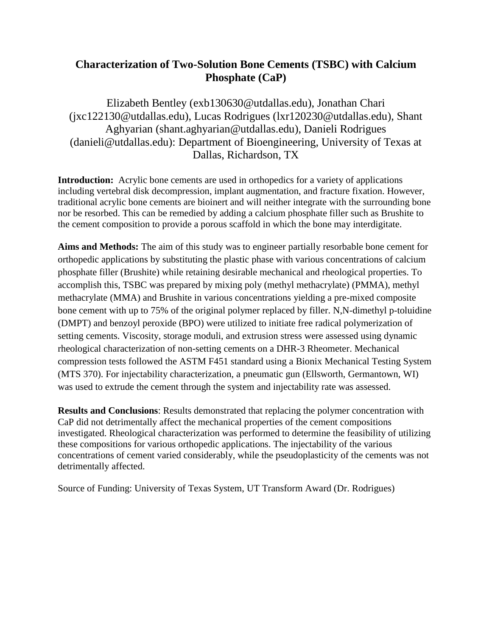# **Characterization of Two-Solution Bone Cements (TSBC) with Calcium Phosphate (CaP)**

Elizabeth Bentley (exb130630@utdallas.edu), Jonathan Chari (jxc122130@utdallas.edu), Lucas Rodrigues (lxr120230@utdallas.edu), Shant Aghyarian (shant.aghyarian@utdallas.edu), Danieli Rodrigues (danieli@utdallas.edu): Department of Bioengineering, University of Texas at Dallas, Richardson, TX

**Introduction:** Acrylic bone cements are used in orthopedics for a variety of applications including vertebral disk decompression, implant augmentation, and fracture fixation. However, traditional acrylic bone cements are bioinert and will neither integrate with the surrounding bone nor be resorbed. This can be remedied by adding a calcium phosphate filler such as Brushite to the cement composition to provide a porous scaffold in which the bone may interdigitate.

**Aims and Methods:** The aim of this study was to engineer partially resorbable bone cement for orthopedic applications by substituting the plastic phase with various concentrations of calcium phosphate filler (Brushite) while retaining desirable mechanical and rheological properties. To accomplish this, TSBC was prepared by mixing poly (methyl methacrylate) (PMMA), methyl methacrylate (MMA) and Brushite in various concentrations yielding a pre-mixed composite bone cement with up to 75% of the original polymer replaced by filler. N,N-dimethyl p-toluidine (DMPT) and benzoyl peroxide (BPO) were utilized to initiate free radical polymerization of setting cements. Viscosity, storage moduli, and extrusion stress were assessed using dynamic rheological characterization of non-setting cements on a DHR-3 Rheometer. Mechanical compression tests followed the ASTM F451 standard using a Bionix Mechanical Testing System (MTS 370). For injectability characterization, a pneumatic gun (Ellsworth, Germantown, WI) was used to extrude the cement through the system and injectability rate was assessed.

**Results and Conclusions**: Results demonstrated that replacing the polymer concentration with CaP did not detrimentally affect the mechanical properties of the cement compositions investigated. Rheological characterization was performed to determine the feasibility of utilizing these compositions for various orthopedic applications. The injectability of the various concentrations of cement varied considerably, while the pseudoplasticity of the cements was not detrimentally affected.

Source of Funding: University of Texas System, UT Transform Award (Dr. Rodrigues)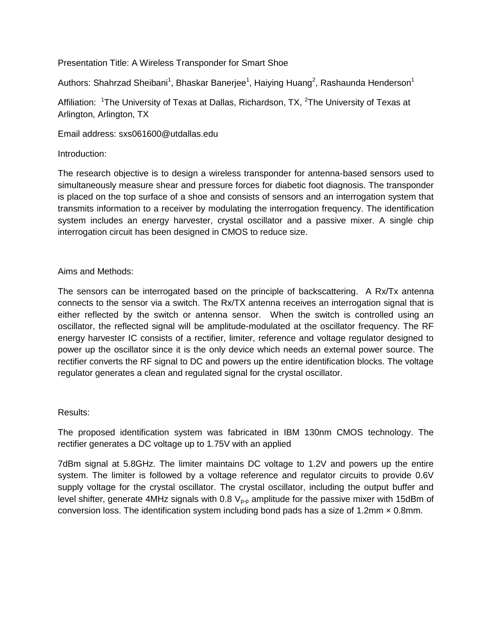Presentation Title: A Wireless Transponder for Smart Shoe

Authors: Shahrzad Sheibani<sup>1</sup>, Bhaskar Banerjee<sup>1</sup>, Haiying Huang<sup>2</sup>, Rashaunda Henderson<sup>1</sup>

Affiliation: <sup>1</sup>The University of Texas at Dallas, Richardson, TX, <sup>2</sup>The University of Texas at Arlington, Arlington, TX

Email address: sxs061600@utdallas.edu

# Introduction:

The research objective is to design a wireless transponder for antenna-based sensors used to simultaneously measure shear and pressure forces for diabetic foot diagnosis. The transponder is placed on the top surface of a shoe and consists of sensors and an interrogation system that transmits information to a receiver by modulating the interrogation frequency. The identification system includes an energy harvester, crystal oscillator and a passive mixer. A single chip interrogation circuit has been designed in CMOS to reduce size.

# Aims and Methods:

The sensors can be interrogated based on the principle of backscattering. A Rx/Tx antenna connects to the sensor via a switch. The Rx/TX antenna receives an interrogation signal that is either reflected by the switch or antenna sensor. When the switch is controlled using an oscillator, the reflected signal will be amplitude-modulated at the oscillator frequency. The RF energy harvester IC consists of a rectifier, limiter, reference and voltage regulator designed to power up the oscillator since it is the only device which needs an external power source. The rectifier converts the RF signal to DC and powers up the entire identification blocks. The voltage regulator generates a clean and regulated signal for the crystal oscillator.

# Results:

The proposed identification system was fabricated in IBM 130nm CMOS technology. The rectifier generates a DC voltage up to 1.75V with an applied

7dBm signal at 5.8GHz. The limiter maintains DC voltage to 1.2V and powers up the entire system. The limiter is followed by a voltage reference and regulator circuits to provide 0.6V supply voltage for the crystal oscillator. The crystal oscillator, including the output buffer and level shifter, generate 4MHz signals with 0.8  $V_{p-p}$  amplitude for the passive mixer with 15dBm of conversion loss. The identification system including bond pads has a size of 1.2mm  $\times$  0.8mm.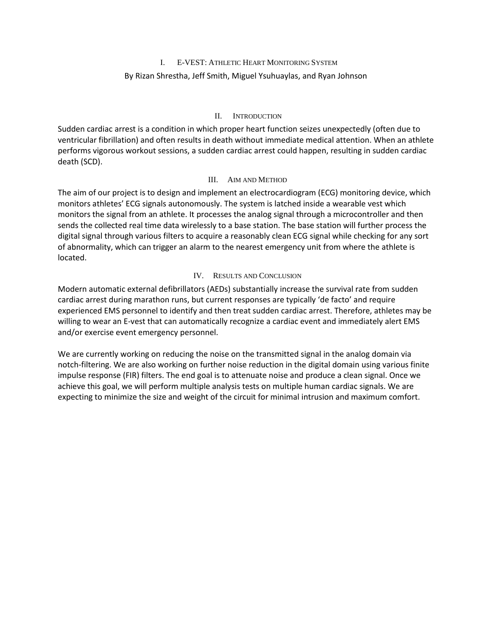# I. E-VEST: ATHLETIC HEART MONITORING SYSTEM

## By Rizan Shrestha, Jeff Smith, Miguel Ysuhuaylas, and Ryan Johnson

## II. INTRODUCTION

Sudden cardiac arrest is a condition in which proper heart function seizes unexpectedly (often due to ventricular fibrillation) and often results in death without immediate medical attention. When an athlete performs vigorous workout sessions, a sudden cardiac arrest could happen, resulting in sudden cardiac death (SCD).

## III. AIM AND METHOD

The aim of our project is to design and implement an electrocardiogram (ECG) monitoring device, which monitors athletes' ECG signals autonomously. The system is latched inside a wearable vest which monitors the signal from an athlete. It processes the analog signal through a microcontroller and then sends the collected real time data wirelessly to a base station. The base station will further process the digital signal through various filters to acquire a reasonably clean ECG signal while checking for any sort of abnormality, which can trigger an alarm to the nearest emergency unit from where the athlete is located.

# IV. RESULTS AND CONCLUSION

Modern automatic external defibrillators (AEDs) substantially increase the survival rate from sudden cardiac arrest during marathon runs, but current responses are typically 'de facto' and require experienced EMS personnel to identify and then treat sudden cardiac arrest. Therefore, athletes may be willing to wear an E-vest that can automatically recognize a cardiac event and immediately alert EMS and/or exercise event emergency personnel.

We are currently working on reducing the noise on the transmitted signal in the analog domain via notch-filtering. We are also working on further noise reduction in the digital domain using various finite impulse response (FIR) filters. The end goal is to attenuate noise and produce a clean signal. Once we achieve this goal, we will perform multiple analysis tests on multiple human cardiac signals. We are expecting to minimize the size and weight of the circuit for minimal intrusion and maximum comfort.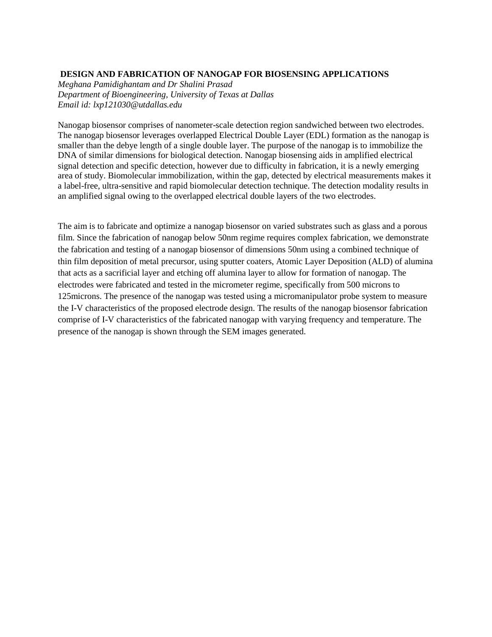#### **DESIGN AND FABRICATION OF NANOGAP FOR BIOSENSING APPLICATIONS**

*Meghana Pamidighantam and Dr Shalini Prasad Department of Bioengineering, University of Texas at Dallas Email id: lxp121030@utdallas.edu* 

Nanogap biosensor comprises of nanometer-scale detection region sandwiched between two electrodes. The nanogap biosensor leverages overlapped Electrical Double Layer (EDL) formation as the nanogap is smaller than the debye length of a single double layer. The purpose of the nanogap is to immobilize the DNA of similar dimensions for biological detection. Nanogap biosensing aids in amplified electrical signal detection and specific detection, however due to difficulty in fabrication, it is a newly emerging area of study. Biomolecular immobilization, within the gap, detected by electrical measurements makes it a label-free, ultra-sensitive and rapid biomolecular detection technique. The detection modality results in an amplified signal owing to the overlapped electrical double layers of the two electrodes.

The aim is to fabricate and optimize a nanogap biosensor on varied substrates such as glass and a porous film. Since the fabrication of nanogap below 50nm regime requires complex fabrication, we demonstrate the fabrication and testing of a nanogap biosensor of dimensions 50nm using a combined technique of thin film deposition of metal precursor, using sputter coaters, Atomic Layer Deposition (ALD) of alumina that acts as a sacrificial layer and etching off alumina layer to allow for formation of nanogap. The electrodes were fabricated and tested in the micrometer regime, specifically from 500 microns to 125microns. The presence of the nanogap was tested using a micromanipulator probe system to measure the I-V characteristics of the proposed electrode design. The results of the nanogap biosensor fabrication comprise of I-V characteristics of the fabricated nanogap with varying frequency and temperature. The presence of the nanogap is shown through the SEM images generated.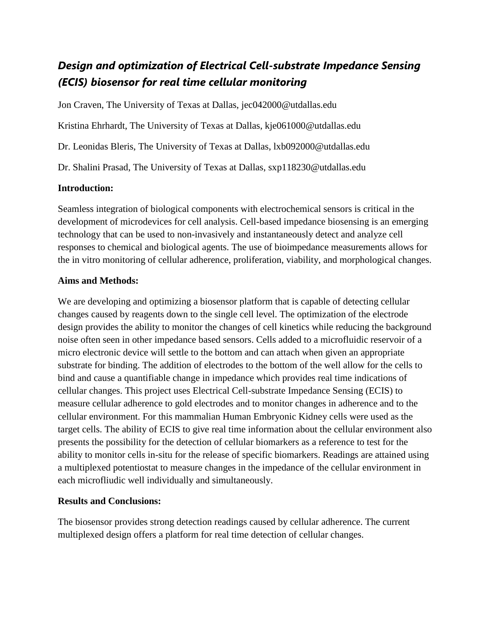# *Design and optimization of Electrical Cell-substrate Impedance Sensing (ECIS) biosensor for real time cellular monitoring*

Jon Craven, The University of Texas at Dallas, jec042000@utdallas.edu Kristina Ehrhardt, The University of Texas at Dallas, kje061000@utdallas.edu Dr. Leonidas Bleris, The University of Texas at Dallas, lxb092000@utdallas.edu Dr. Shalini Prasad, The University of Texas at Dallas, sxp118230@utdallas.edu

# **Introduction:**

Seamless integration of biological components with electrochemical sensors is critical in the development of microdevices for cell analysis. Cell-based impedance biosensing is an emerging technology that can be used to non-invasively and instantaneously detect and analyze cell responses to chemical and biological agents. The use of bioimpedance measurements allows for the in vitro monitoring of cellular adherence, proliferation, viability, and morphological changes.

# **Aims and Methods:**

We are developing and optimizing a biosensor platform that is capable of detecting cellular changes caused by reagents down to the single cell level. The optimization of the electrode design provides the ability to monitor the changes of cell kinetics while reducing the background noise often seen in other impedance based sensors. Cells added to a microfluidic reservoir of a micro electronic device will settle to the bottom and can attach when given an appropriate substrate for binding. The addition of electrodes to the bottom of the well allow for the cells to bind and cause a quantifiable change in impedance which provides real time indications of cellular changes. This project uses Electrical Cell-substrate Impedance Sensing (ECIS) to measure cellular adherence to gold electrodes and to monitor changes in adherence and to the cellular environment. For this mammalian Human Embryonic Kidney cells were used as the target cells. The ability of ECIS to give real time information about the cellular environment also presents the possibility for the detection of cellular biomarkers as a reference to test for the ability to monitor cells in-situ for the release of specific biomarkers. Readings are attained using a multiplexed potentiostat to measure changes in the impedance of the cellular environment in each microfliudic well individually and simultaneously.

# **Results and Conclusions:**

The biosensor provides strong detection readings caused by cellular adherence. The current multiplexed design offers a platform for real time detection of cellular changes.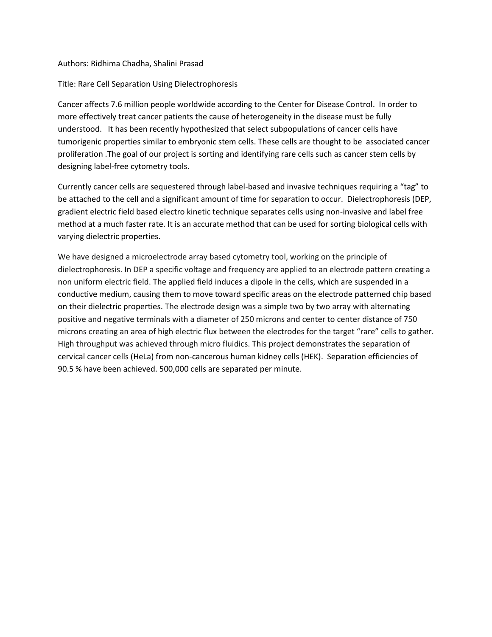#### Authors: Ridhima Chadha, Shalini Prasad

#### Title: Rare Cell Separation Using Dielectrophoresis

Cancer affects 7.6 million people worldwide according to the Center for Disease Control. In order to more effectively treat cancer patients the cause of heterogeneity in the disease must be fully understood. It has been recently hypothesized that select subpopulations of cancer cells have tumorigenic properties similar to embryonic stem cells. These cells are thought to be associated cancer proliferation .The goal of our project is sorting and identifying rare cells such as cancer stem cells by designing label-free cytometry tools.

Currently cancer cells are sequestered through label-based and invasive techniques requiring a "tag" to be attached to the cell and a significant amount of time for separation to occur. Dielectrophoresis (DEP, gradient electric field based electro kinetic technique separates cells using non-invasive and label free method at a much faster rate. It is an accurate method that can be used for sorting biological cells with varying dielectric properties.

We have designed a microelectrode array based cytometry tool, working on the principle of dielectrophoresis. In DEP a specific voltage and frequency are applied to an electrode pattern creating a non uniform electric field. The applied field induces a dipole in the cells, which are suspended in a conductive medium, causing them to move toward specific areas on the electrode patterned chip based on their dielectric properties. The electrode design was a simple two by two array with alternating positive and negative terminals with a diameter of 250 microns and center to center distance of 750 microns creating an area of high electric flux between the electrodes for the target "rare" cells to gather. High throughput was achieved through micro fluidics. This project demonstrates the separation of cervical cancer cells (HeLa) from non-cancerous human kidney cells (HEK). Separation efficiencies of 90.5 % have been achieved. 500,000 cells are separated per minute.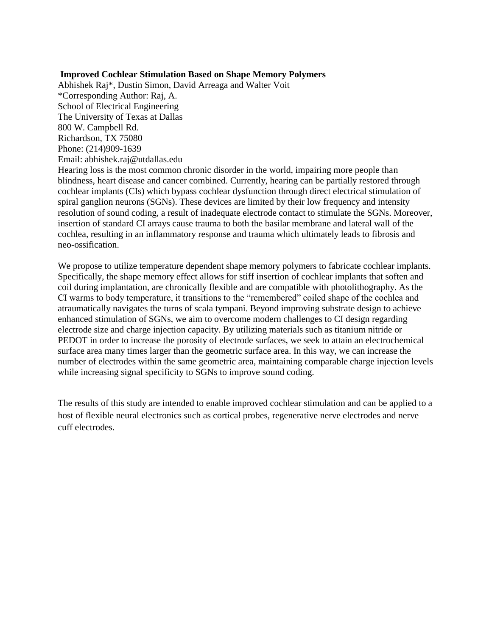## **Improved Cochlear Stimulation Based on Shape Memory Polymers**

Abhishek Raj\*, Dustin Simon, David Arreaga and Walter Voit \*Corresponding Author: Raj, A. School of Electrical Engineering The University of Texas at Dallas 800 W. Campbell Rd. Richardson, TX 75080 Phone: (214)909-1639 Email: abhishek.raj@utdallas.edu Hearing loss is the most common chronic disorder in the world, impairing more people than

blindness, heart disease and cancer combined. Currently, hearing can be partially restored through cochlear implants (CIs) which bypass cochlear dysfunction through direct electrical stimulation of spiral ganglion neurons (SGNs). These devices are limited by their low frequency and intensity resolution of sound coding, a result of inadequate electrode contact to stimulate the SGNs. Moreover, insertion of standard CI arrays cause trauma to both the basilar membrane and lateral wall of the cochlea, resulting in an inflammatory response and trauma which ultimately leads to fibrosis and neo-ossification.

We propose to utilize temperature dependent shape memory polymers to fabricate cochlear implants. Specifically, the shape memory effect allows for stiff insertion of cochlear implants that soften and coil during implantation, are chronically flexible and are compatible with photolithography. As the CI warms to body temperature, it transitions to the "remembered" coiled shape of the cochlea and atraumatically navigates the turns of scala tympani. Beyond improving substrate design to achieve enhanced stimulation of SGNs, we aim to overcome modern challenges to CI design regarding electrode size and charge injection capacity. By utilizing materials such as titanium nitride or PEDOT in order to increase the porosity of electrode surfaces, we seek to attain an electrochemical surface area many times larger than the geometric surface area. In this way, we can increase the number of electrodes within the same geometric area, maintaining comparable charge injection levels while increasing signal specificity to SGNs to improve sound coding.

The results of this study are intended to enable improved cochlear stimulation and can be applied to a host of flexible neural electronics such as cortical probes, regenerative nerve electrodes and nerve cuff electrodes.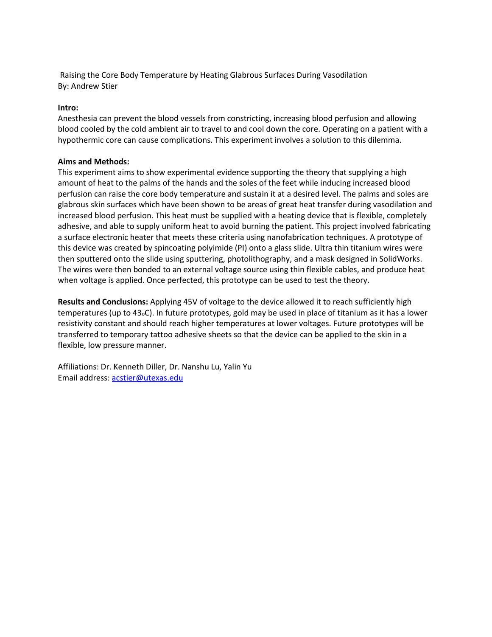Raising the Core Body Temperature by Heating Glabrous Surfaces During Vasodilation By: Andrew Stier

#### **Intro:**

Anesthesia can prevent the blood vessels from constricting, increasing blood perfusion and allowing blood cooled by the cold ambient air to travel to and cool down the core. Operating on a patient with a hypothermic core can cause complications. This experiment involves a solution to this dilemma.

#### **Aims and Methods:**

This experiment aims to show experimental evidence supporting the theory that supplying a high amount of heat to the palms of the hands and the soles of the feet while inducing increased blood perfusion can raise the core body temperature and sustain it at a desired level. The palms and soles are glabrous skin surfaces which have been shown to be areas of great heat transfer during vasodilation and increased blood perfusion. This heat must be supplied with a heating device that is flexible, completely adhesive, and able to supply uniform heat to avoid burning the patient. This project involved fabricating a surface electronic heater that meets these criteria using nanofabrication techniques. A prototype of this device was created by spincoating polyimide (PI) onto a glass slide. Ultra thin titanium wires were then sputtered onto the slide using sputtering, photolithography, and a mask designed in SolidWorks. The wires were then bonded to an external voltage source using thin flexible cables, and produce heat when voltage is applied. Once perfected, this prototype can be used to test the theory.

**Results and Conclusions:** Applying 45V of voltage to the device allowed it to reach sufficiently high temperatures (up to 43oC). In future prototypes, gold may be used in place of titanium as it has a lower resistivity constant and should reach higher temperatures at lower voltages. Future prototypes will be transferred to temporary tattoo adhesive sheets so that the device can be applied to the skin in a flexible, low pressure manner.

Affiliations: Dr. Kenneth Diller, Dr. Nanshu Lu, Yalin Yu Email address: [acstier@utexas.edu](mailto:acstier@utexas.edu)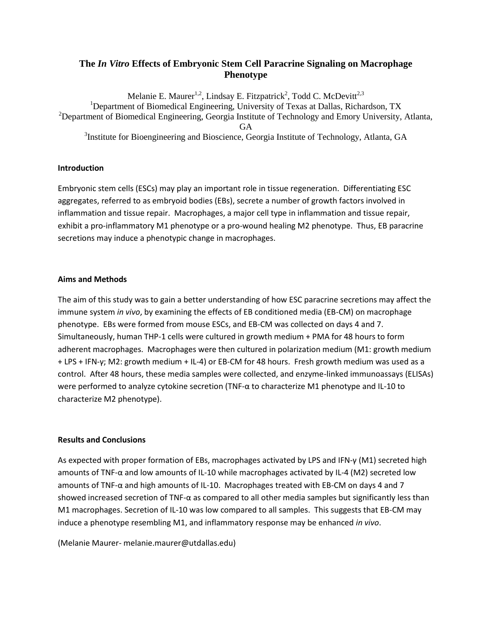# **The** *In Vitro* **Effects of Embryonic Stem Cell Paracrine Signaling on Macrophage Phenotype**

Melanie E. Maurer<sup>1,2</sup>, Lindsay E. Fitzpatrick<sup>2</sup>, Todd C. McDevitt<sup>2,3</sup> <sup>1</sup>Department of Biomedical Engineering, University of Texas at Dallas, Richardson, TX <sup>2</sup>Department of Biomedical Engineering, Georgia Institute of Technology and Emory University, Atlanta, GA <sup>3</sup>Institute for Bioengineering and Bioscience, Georgia Institute of Technology, Atlanta, GA

## **Introduction**

Embryonic stem cells (ESCs) may play an important role in tissue regeneration. Differentiating ESC aggregates, referred to as embryoid bodies (EBs), secrete a number of growth factors involved in inflammation and tissue repair. Macrophages, a major cell type in inflammation and tissue repair, exhibit a pro-inflammatory M1 phenotype or a pro-wound healing M2 phenotype. Thus, EB paracrine secretions may induce a phenotypic change in macrophages.

## **Aims and Methods**

The aim of this study was to gain a better understanding of how ESC paracrine secretions may affect the immune system *in vivo*, by examining the effects of EB conditioned media (EB-CM) on macrophage phenotype. EBs were formed from mouse ESCs, and EB-CM was collected on days 4 and 7. Simultaneously, human THP-1 cells were cultured in growth medium + PMA for 48 hours to form adherent macrophages. Macrophages were then cultured in polarization medium (M1: growth medium + LPS + IFN-γ; M2: growth medium + IL-4) or EB-CM for 48 hours. Fresh growth medium was used as a control. After 48 hours, these media samples were collected, and enzyme-linked immunoassays (ELISAs) were performed to analyze cytokine secretion (TNF-α to characterize M1 phenotype and IL-10 to characterize M2 phenotype).

## **Results and Conclusions**

As expected with proper formation of EBs, macrophages activated by LPS and IFN-γ (M1) secreted high amounts of TNF-α and low amounts of IL-10 while macrophages activated by IL-4 (M2) secreted low amounts of TNF-α and high amounts of IL-10. Macrophages treated with EB-CM on days 4 and 7 showed increased secretion of TNF-α as compared to all other media samples but significantly less than M1 macrophages. Secretion of IL-10 was low compared to all samples. This suggests that EB-CM may induce a phenotype resembling M1, and inflammatory response may be enhanced *in vivo*.

(Melanie Maurer- melanie.maurer@utdallas.edu)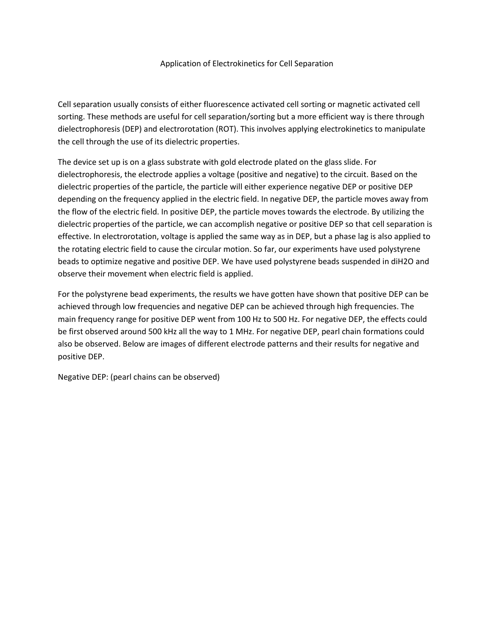#### Application of Electrokinetics for Cell Separation

Cell separation usually consists of either fluorescence activated cell sorting or magnetic activated cell sorting. These methods are useful for cell separation/sorting but a more efficient way is there through dielectrophoresis (DEP) and electrorotation (ROT). This involves applying electrokinetics to manipulate the cell through the use of its dielectric properties.

The device set up is on a glass substrate with gold electrode plated on the glass slide. For dielectrophoresis, the electrode applies a voltage (positive and negative) to the circuit. Based on the dielectric properties of the particle, the particle will either experience negative DEP or positive DEP depending on the frequency applied in the electric field. In negative DEP, the particle moves away from the flow of the electric field. In positive DEP, the particle moves towards the electrode. By utilizing the dielectric properties of the particle, we can accomplish negative or positive DEP so that cell separation is effective. In electrorotation, voltage is applied the same way as in DEP, but a phase lag is also applied to the rotating electric field to cause the circular motion. So far, our experiments have used polystyrene beads to optimize negative and positive DEP. We have used polystyrene beads suspended in diH2O and observe their movement when electric field is applied.

For the polystyrene bead experiments, the results we have gotten have shown that positive DEP can be achieved through low frequencies and negative DEP can be achieved through high frequencies. The main frequency range for positive DEP went from 100 Hz to 500 Hz. For negative DEP, the effects could be first observed around 500 kHz all the way to 1 MHz. For negative DEP, pearl chain formations could also be observed. Below are images of different electrode patterns and their results for negative and positive DEP.

Negative DEP: (pearl chains can be observed)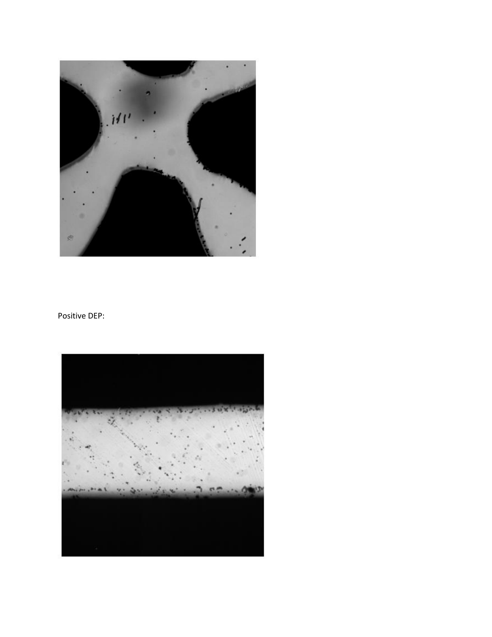

# Positive DEP: